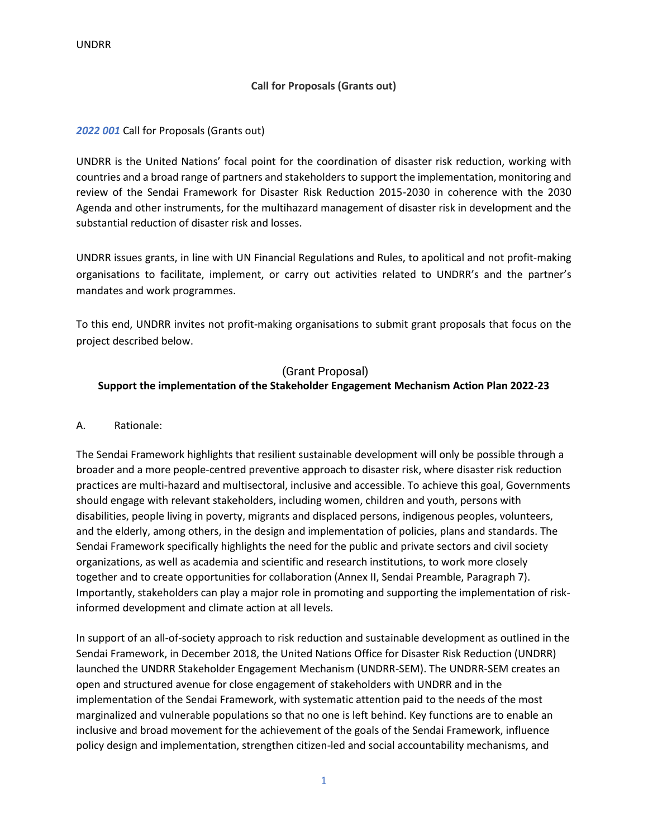### **Call for Proposals (Grants out)**

#### *2022 001* Call for Proposals (Grants out)

UNDRR is the United Nations' focal point for the coordination of disaster risk reduction, working with countries and a broad range of partners and stakeholders to support the implementation, monitoring and review of the Sendai Framework for Disaster Risk Reduction 2015-2030 in coherence with the 2030 Agenda and other instruments, for the multihazard management of disaster risk in development and the substantial reduction of disaster risk and losses.

UNDRR issues grants, in line with UN Financial Regulations and Rules, to apolitical and not profit-making organisations to facilitate, implement, or carry out activities related to UNDRR's and the partner's mandates and work programmes.

To this end, UNDRR invites not profit-making organisations to submit grant proposals that focus on the project described below.

## (Grant Proposal) **Support the implementation of the Stakeholder Engagement Mechanism Action Plan 2022-23**

#### A. Rationale:

The Sendai Framework highlights that resilient sustainable development will only be possible through a broader and a more people-centred preventive approach to disaster risk, where disaster risk reduction practices are multi-hazard and multisectoral, inclusive and accessible. To achieve this goal, Governments should engage with relevant stakeholders, including women, children and youth, persons with disabilities, people living in poverty, migrants and displaced persons, indigenous peoples, volunteers, and the elderly, among others, in the design and implementation of policies, plans and standards. The Sendai Framework specifically highlights the need for the public and private sectors and civil society organizations, as well as academia and scientific and research institutions, to work more closely together and to create opportunities for collaboration (Annex II, Sendai Preamble, Paragraph 7). Importantly, stakeholders can play a major role in promoting and supporting the implementation of riskinformed development and climate action at all levels.

In support of an all-of-society approach to risk reduction and sustainable development as outlined in the Sendai Framework, in December 2018, the United Nations Office for Disaster Risk Reduction (UNDRR) launched the UNDRR Stakeholder Engagement Mechanism (UNDRR-SEM). The UNDRR-SEM creates an open and structured avenue for close engagement of stakeholders with UNDRR and in the implementation of the Sendai Framework, with systematic attention paid to the needs of the most marginalized and vulnerable populations so that no one is left behind. Key functions are to enable an inclusive and broad movement for the achievement of the goals of the Sendai Framework, influence policy design and implementation, strengthen citizen-led and social accountability mechanisms, and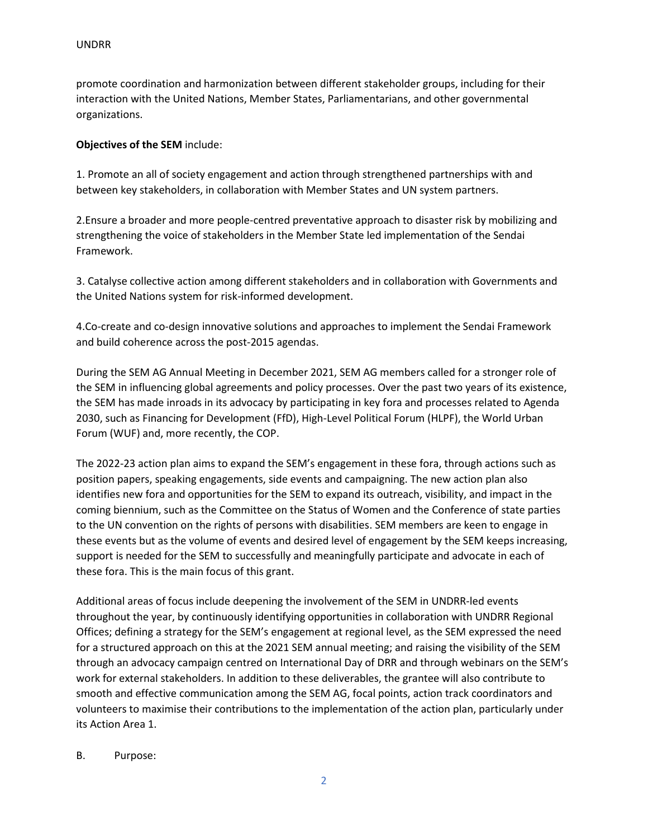promote coordination and harmonization between different stakeholder groups, including for their interaction with the United Nations, Member States, Parliamentarians, and other governmental organizations.

### **Objectives of the SEM** include:

1. Promote an all of society engagement and action through strengthened partnerships with and between key stakeholders, in collaboration with Member States and UN system partners.

2.Ensure a broader and more people-centred preventative approach to disaster risk by mobilizing and strengthening the voice of stakeholders in the Member State led implementation of the Sendai Framework.

3. Catalyse collective action among different stakeholders and in collaboration with Governments and the United Nations system for risk-informed development.

4.Co-create and co-design innovative solutions and approaches to implement the Sendai Framework and build coherence across the post-2015 agendas.

During the SEM AG Annual Meeting in December 2021, SEM AG members called for a stronger role of the SEM in influencing global agreements and policy processes. Over the past two years of its existence, the SEM has made inroads in its advocacy by participating in key fora and processes related to Agenda 2030, such as Financing for Development (FfD), High-Level Political Forum (HLPF), the World Urban Forum (WUF) and, more recently, the COP.

The 2022-23 action plan aims to expand the SEM's engagement in these fora, through actions such as position papers, speaking engagements, side events and campaigning. The new action plan also identifies new fora and opportunities for the SEM to expand its outreach, visibility, and impact in the coming biennium, such as the Committee on the Status of Women and the Conference of state parties to the UN convention on the rights of persons with disabilities. SEM members are keen to engage in these events but as the volume of events and desired level of engagement by the SEM keeps increasing, support is needed for the SEM to successfully and meaningfully participate and advocate in each of these fora. This is the main focus of this grant.

Additional areas of focus include deepening the involvement of the SEM in UNDRR-led events throughout the year, by continuously identifying opportunities in collaboration with UNDRR Regional Offices; defining a strategy for the SEM's engagement at regional level, as the SEM expressed the need for a structured approach on this at the 2021 SEM annual meeting; and raising the visibility of the SEM through an advocacy campaign centred on International Day of DRR and through webinars on the SEM's work for external stakeholders. In addition to these deliverables, the grantee will also contribute to smooth and effective communication among the SEM AG, focal points, action track coordinators and volunteers to maximise their contributions to the implementation of the action plan, particularly under its Action Area 1.

#### B. Purpose: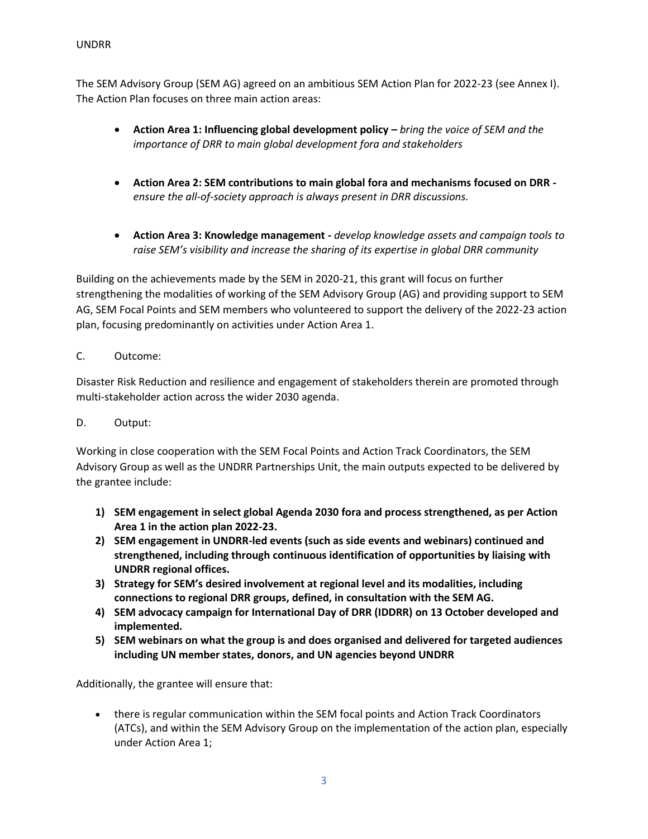The SEM Advisory Group (SEM AG) agreed on an ambitious SEM Action Plan for 2022-23 (see Annex I). The Action Plan focuses on three main action areas:

- **Action Area 1: Influencing global development policy –** *bring the voice of SEM and the importance of DRR to main global development fora and stakeholders*
- **Action Area 2: SEM contributions to main global fora and mechanisms focused on DRR**  *ensure the all-of-society approach is always present in DRR discussions.*
- **Action Area 3: Knowledge management -** *develop knowledge assets and campaign tools to raise SEM's visibility and increase the sharing of its expertise in global DRR community*

Building on the achievements made by the SEM in 2020-21, this grant will focus on further strengthening the modalities of working of the SEM Advisory Group (AG) and providing support to SEM AG, SEM Focal Points and SEM members who volunteered to support the delivery of the 2022-23 action plan, focusing predominantly on activities under Action Area 1.

# C. Outcome:

Disaster Risk Reduction and resilience and engagement of stakeholders therein are promoted through multi-stakeholder action across the wider 2030 agenda.

# D. Output:

Working in close cooperation with the SEM Focal Points and Action Track Coordinators, the SEM Advisory Group as well as the UNDRR Partnerships Unit, the main outputs expected to be delivered by the grantee include:

- **1) SEM engagement in select global Agenda 2030 fora and process strengthened, as per Action Area 1 in the action plan 2022-23.**
- **2) SEM engagement in UNDRR-led events (such as side events and webinars) continued and strengthened, including through continuous identification of opportunities by liaising with UNDRR regional offices.**
- **3) Strategy for SEM's desired involvement at regional level and its modalities, including connections to regional DRR groups, defined, in consultation with the SEM AG.**
- **4) SEM advocacy campaign for International Day of DRR (IDDRR) on 13 October developed and implemented.**
- **5) SEM webinars on what the group is and does organised and delivered for targeted audiences including UN member states, donors, and UN agencies beyond UNDRR**

Additionally, the grantee will ensure that:

• there is regular communication within the SEM focal points and Action Track Coordinators (ATCs), and within the SEM Advisory Group on the implementation of the action plan, especially under Action Area 1;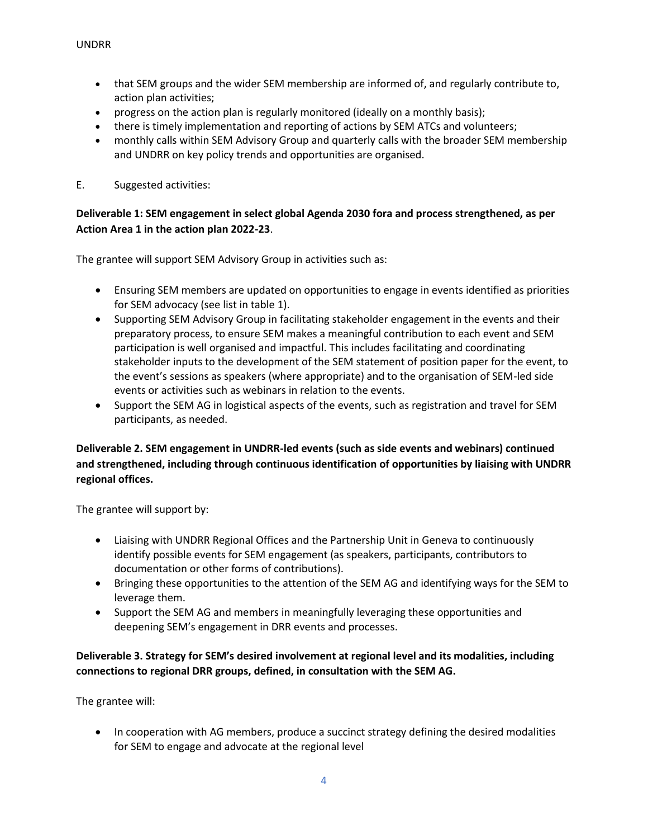- that SEM groups and the wider SEM membership are informed of, and regularly contribute to, action plan activities;
- progress on the action plan is regularly monitored (ideally on a monthly basis);
- there is timely implementation and reporting of actions by SEM ATCs and volunteers;
- monthly calls within SEM Advisory Group and quarterly calls with the broader SEM membership and UNDRR on key policy trends and opportunities are organised.
- E. Suggested activities:

## **Deliverable 1: SEM engagement in select global Agenda 2030 fora and process strengthened, as per Action Area 1 in the action plan 2022-23**.

The grantee will support SEM Advisory Group in activities such as:

- Ensuring SEM members are updated on opportunities to engage in events identified as priorities for SEM advocacy (see list in table 1).
- Supporting SEM Advisory Group in facilitating stakeholder engagement in the events and their preparatory process, to ensure SEM makes a meaningful contribution to each event and SEM participation is well organised and impactful. This includes facilitating and coordinating stakeholder inputs to the development of the SEM statement of position paper for the event, to the event's sessions as speakers (where appropriate) and to the organisation of SEM-led side events or activities such as webinars in relation to the events.
- Support the SEM AG in logistical aspects of the events, such as registration and travel for SEM participants, as needed.

# **Deliverable 2. SEM engagement in UNDRR-led events (such as side events and webinars) continued and strengthened, including through continuous identification of opportunities by liaising with UNDRR regional offices.**

The grantee will support by:

- Liaising with UNDRR Regional Offices and the Partnership Unit in Geneva to continuously identify possible events for SEM engagement (as speakers, participants, contributors to documentation or other forms of contributions).
- Bringing these opportunities to the attention of the SEM AG and identifying ways for the SEM to leverage them.
- Support the SEM AG and members in meaningfully leveraging these opportunities and deepening SEM's engagement in DRR events and processes.

# **Deliverable 3. Strategy for SEM's desired involvement at regional level and its modalities, including connections to regional DRR groups, defined, in consultation with the SEM AG.**

The grantee will:

• In cooperation with AG members, produce a succinct strategy defining the desired modalities for SEM to engage and advocate at the regional level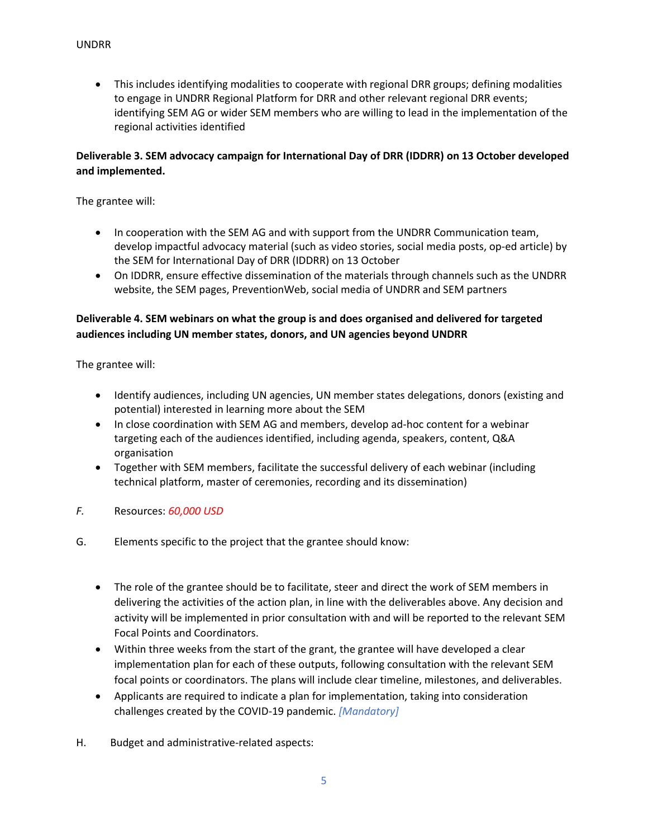• This includes identifying modalities to cooperate with regional DRR groups; defining modalities to engage in UNDRR Regional Platform for DRR and other relevant regional DRR events; identifying SEM AG or wider SEM members who are willing to lead in the implementation of the regional activities identified

## **Deliverable 3. SEM advocacy campaign for International Day of DRR (IDDRR) on 13 October developed and implemented.**

The grantee will:

- In cooperation with the SEM AG and with support from the UNDRR Communication team, develop impactful advocacy material (such as video stories, social media posts, op-ed article) by the SEM for International Day of DRR (IDDRR) on 13 October
- On IDDRR, ensure effective dissemination of the materials through channels such as the UNDRR website, the SEM pages, PreventionWeb, social media of UNDRR and SEM partners

## **Deliverable 4. SEM webinars on what the group is and does organised and delivered for targeted audiences including UN member states, donors, and UN agencies beyond UNDRR**

The grantee will:

- Identify audiences, including UN agencies, UN member states delegations, donors (existing and potential) interested in learning more about the SEM
- In close coordination with SEM AG and members, develop ad-hoc content for a webinar targeting each of the audiences identified, including agenda, speakers, content, Q&A organisation
- Together with SEM members, facilitate the successful delivery of each webinar (including technical platform, master of ceremonies, recording and its dissemination)
- *F.* Resources: *60,000 USD*
- G. Elements specific to the project that the grantee should know:
	- The role of the grantee should be to facilitate, steer and direct the work of SEM members in delivering the activities of the action plan, in line with the deliverables above. Any decision and activity will be implemented in prior consultation with and will be reported to the relevant SEM Focal Points and Coordinators.
	- Within three weeks from the start of the grant, the grantee will have developed a clear implementation plan for each of these outputs, following consultation with the relevant SEM focal points or coordinators. The plans will include clear timeline, milestones, and deliverables.
	- Applicants are required to indicate a plan for implementation, taking into consideration challenges created by the COVID-19 pandemic. *[Mandatory]*
- H. Budget and administrative-related aspects: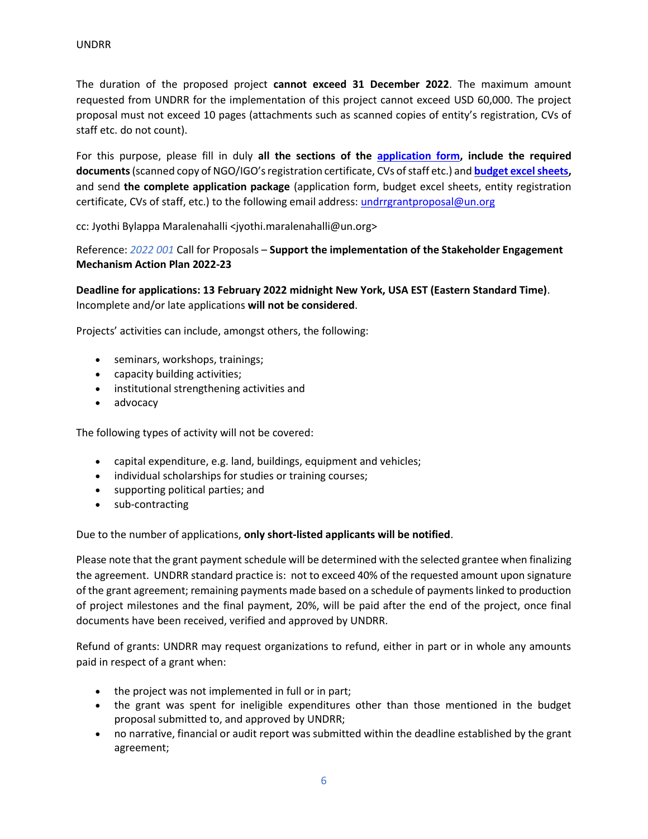The duration of the proposed project **cannot exceed 31 December 2022**. The maximum amount requested from UNDRR for the implementation of this project cannot exceed USD 60,000. The project proposal must not exceed 10 pages (attachments such as scanned copies of entity's registration, CVs of staff etc. do not count).

For this purpose, please fill in duly **all the sections of the [application form,](https://www.undrr.org/sites/default/files/inline-files/UNDRRgrantapplicationform.docx) include the required documents** (scanned copy of NGO/IGO's registration certificate, CVs of staff etc.) and **[budget excel sheets,](https://www.undrr.org/sites/default/files/inline-files/UNDRRgrantapplicationbudgetsheets.xls)**  and send **the complete application package** (application form, budget excel sheets, entity registration certificate, CVs of staff, etc.) to the following email address: [undrrgrantproposal@un.org](mailto:undrrgrantproposal@un.org)

cc: Jyothi Bylappa Maralenahalli <jyothi.maralenahalli@un.org>

Reference: *2022 001* Call for Proposals – **Support the implementation of the Stakeholder Engagement Mechanism Action Plan 2022-23**

**Deadline for applications: 13 February 2022 midnight New York, USA EST (Eastern Standard Time)**. Incomplete and/or late applications **will not be considered**.

Projects' activities can include, amongst others, the following:

- seminars, workshops, trainings;
- capacity building activities;
- institutional strengthening activities and
- advocacy

The following types of activity will not be covered:

- capital expenditure, e.g. land, buildings, equipment and vehicles;
- individual scholarships for studies or training courses;
- supporting political parties; and
- sub-contracting

Due to the number of applications, **only short-listed applicants will be notified**.

Please note that the grant payment schedule will be determined with the selected grantee when finalizing the agreement. UNDRR standard practice is: not to exceed 40% of the requested amount upon signature of the grant agreement; remaining payments made based on a schedule of payments linked to production of project milestones and the final payment, 20%, will be paid after the end of the project, once final documents have been received, verified and approved by UNDRR.

Refund of grants: UNDRR may request organizations to refund, either in part or in whole any amounts paid in respect of a grant when:

- the project was not implemented in full or in part;
- the grant was spent for ineligible expenditures other than those mentioned in the budget proposal submitted to, and approved by UNDRR;
- no narrative, financial or audit report was submitted within the deadline established by the grant agreement;